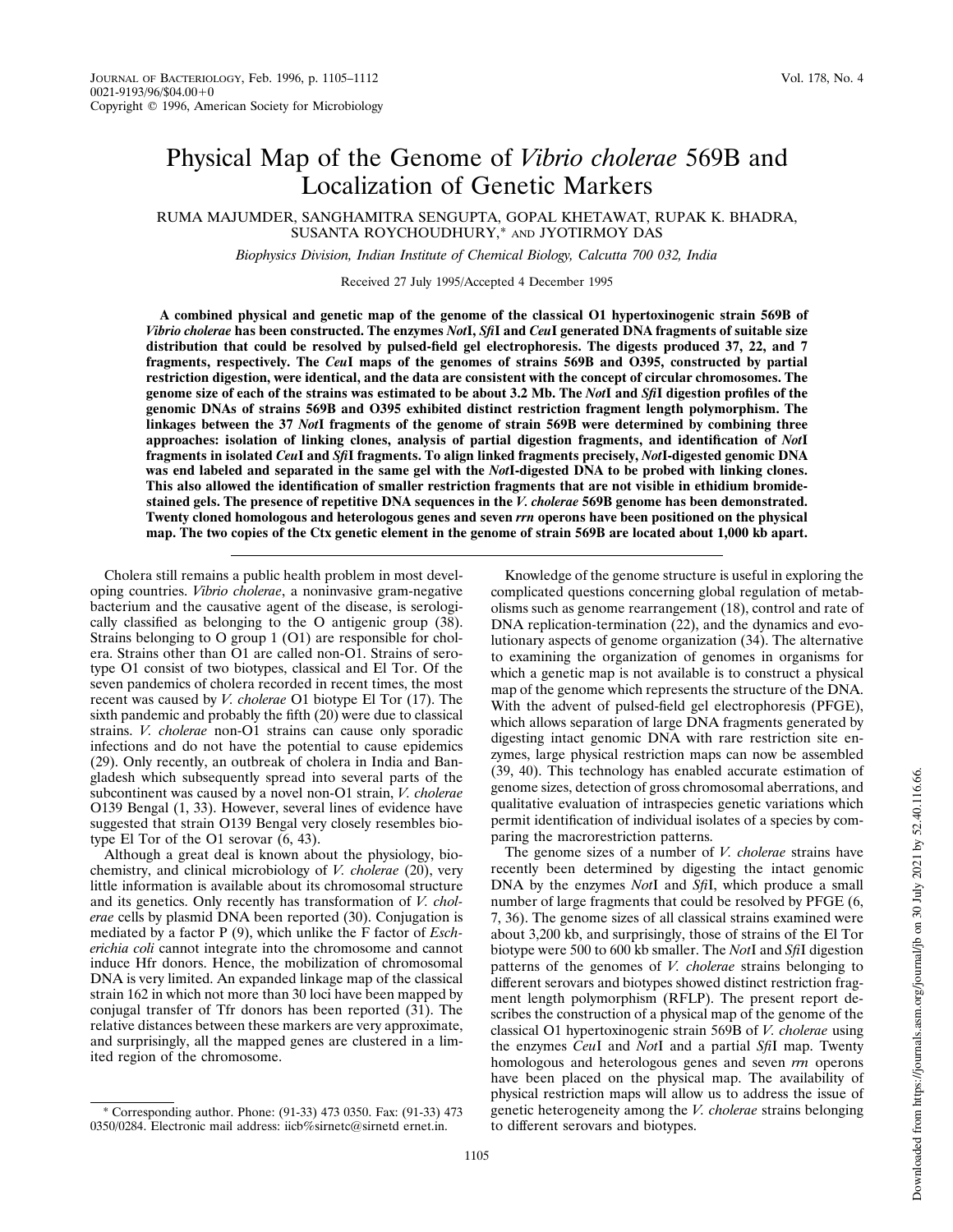# Physical Map of the Genome of *Vibrio cholerae* 569B and Localization of Genetic Markers

RUMA MAJUMDER, SANGHAMITRA SENGUPTA, GOPAL KHETAWAT, RUPAK K. BHADRA, SUSANTA ROYCHOUDHURY,\* AND JYOTIRMOY DAS

*Biophysics Division, Indian Institute of Chemical Biology, Calcutta 700 032, India*

Received 27 July 1995/Accepted 4 December 1995

**A combined physical and genetic map of the genome of the classical O1 hypertoxinogenic strain 569B of** *Vibrio cholerae* **has been constructed. The enzymes** *Not***I,** *Sfi***I and** *Ceu***I generated DNA fragments of suitable size distribution that could be resolved by pulsed-field gel electrophoresis. The digests produced 37, 22, and 7 fragments, respectively. The** *Ceu***I maps of the genomes of strains 569B and O395, constructed by partial restriction digestion, were identical, and the data are consistent with the concept of circular chromosomes. The genome size of each of the strains was estimated to be about 3.2 Mb. The** *Not***I and** *Sfi***I digestion profiles of the genomic DNAs of strains 569B and O395 exhibited distinct restriction fragment length polymorphism. The linkages between the 37** *Not***I fragments of the genome of strain 569B were determined by combining three approaches: isolation of linking clones, analysis of partial digestion fragments, and identification of** *Not***I fragments in isolated** *Ceu***I and** *Sfi***I fragments. To align linked fragments precisely,** *Not***I-digested genomic DNA was end labeled and separated in the same gel with the** *Not***I-digested DNA to be probed with linking clones. This also allowed the identification of smaller restriction fragments that are not visible in ethidium bromidestained gels. The presence of repetitive DNA sequences in the** *V. cholerae* **569B genome has been demonstrated. Twenty cloned homologous and heterologous genes and seven** *rrn* **operons have been positioned on the physical map. The two copies of the Ctx genetic element in the genome of strain 569B are located about 1,000 kb apart.**

Cholera still remains a public health problem in most developing countries. *Vibrio cholerae*, a noninvasive gram-negative bacterium and the causative agent of the disease, is serologically classified as belonging to the O antigenic group (38). Strains belonging to O group 1 (O1) are responsible for cholera. Strains other than O1 are called non-O1. Strains of serotype O1 consist of two biotypes, classical and El Tor. Of the seven pandemics of cholera recorded in recent times, the most recent was caused by *V. cholerae* O1 biotype El Tor (17). The sixth pandemic and probably the fifth (20) were due to classical strains. *V. cholerae* non-O1 strains can cause only sporadic infections and do not have the potential to cause epidemics (29). Only recently, an outbreak of cholera in India and Bangladesh which subsequently spread into several parts of the subcontinent was caused by a novel non-O1 strain, *V. cholerae* O139 Bengal (1, 33). However, several lines of evidence have suggested that strain O139 Bengal very closely resembles biotype El Tor of the O1 serovar (6, 43).

Although a great deal is known about the physiology, biochemistry, and clinical microbiology of *V. cholerae* (20), very little information is available about its chromosomal structure and its genetics. Only recently has transformation of *V. cholerae* cells by plasmid DNA been reported (30). Conjugation is mediated by a factor P (9), which unlike the F factor of *Escherichia coli* cannot integrate into the chromosome and cannot induce Hfr donors. Hence, the mobilization of chromosomal DNA is very limited. An expanded linkage map of the classical strain 162 in which not more than 30 loci have been mapped by conjugal transfer of Tfr donors has been reported (31). The relative distances between these markers are very approximate, and surprisingly, all the mapped genes are clustered in a limited region of the chromosome.

Knowledge of the genome structure is useful in exploring the complicated questions concerning global regulation of metabolisms such as genome rearrangement (18), control and rate of DNA replication-termination (22), and the dynamics and evolutionary aspects of genome organization (34). The alternative to examining the organization of genomes in organisms for which a genetic map is not available is to construct a physical map of the genome which represents the structure of the DNA. With the advent of pulsed-field gel electrophoresis (PFGE), which allows separation of large DNA fragments generated by digesting intact genomic DNA with rare restriction site enzymes, large physical restriction maps can now be assembled (39, 40). This technology has enabled accurate estimation of genome sizes, detection of gross chromosomal aberrations, and qualitative evaluation of intraspecies genetic variations which permit identification of individual isolates of a species by comparing the macrorestriction patterns.

The genome sizes of a number of *V. cholerae* strains have recently been determined by digesting the intact genomic DNA by the enzymes *Not*I and *Sfi*I, which produce a small number of large fragments that could be resolved by PFGE (6, 7, 36). The genome sizes of all classical strains examined were about 3,200 kb, and surprisingly, those of strains of the El Tor biotype were 500 to 600 kb smaller. The *Not*I and *Sfi*I digestion patterns of the genomes of *V. cholerae* strains belonging to different serovars and biotypes showed distinct restriction fragment length polymorphism (RFLP). The present report describes the construction of a physical map of the genome of the classical O1 hypertoxinogenic strain 569B of *V. cholerae* using the enzymes *Ceu*I and *Not*I and a partial *Sfi*I map. Twenty homologous and heterologous genes and seven *rrn* operons have been placed on the physical map. The availability of physical restriction maps will allow us to address the issue of genetic heterogeneity among the *V. cholerae* strains belonging to different serovars and biotypes.

<sup>\*</sup> Corresponding author. Phone: (91-33) 473 0350. Fax: (91-33) 473 0350/0284. Electronic mail address: iicb%sirnetc@sirnetd ernet.in.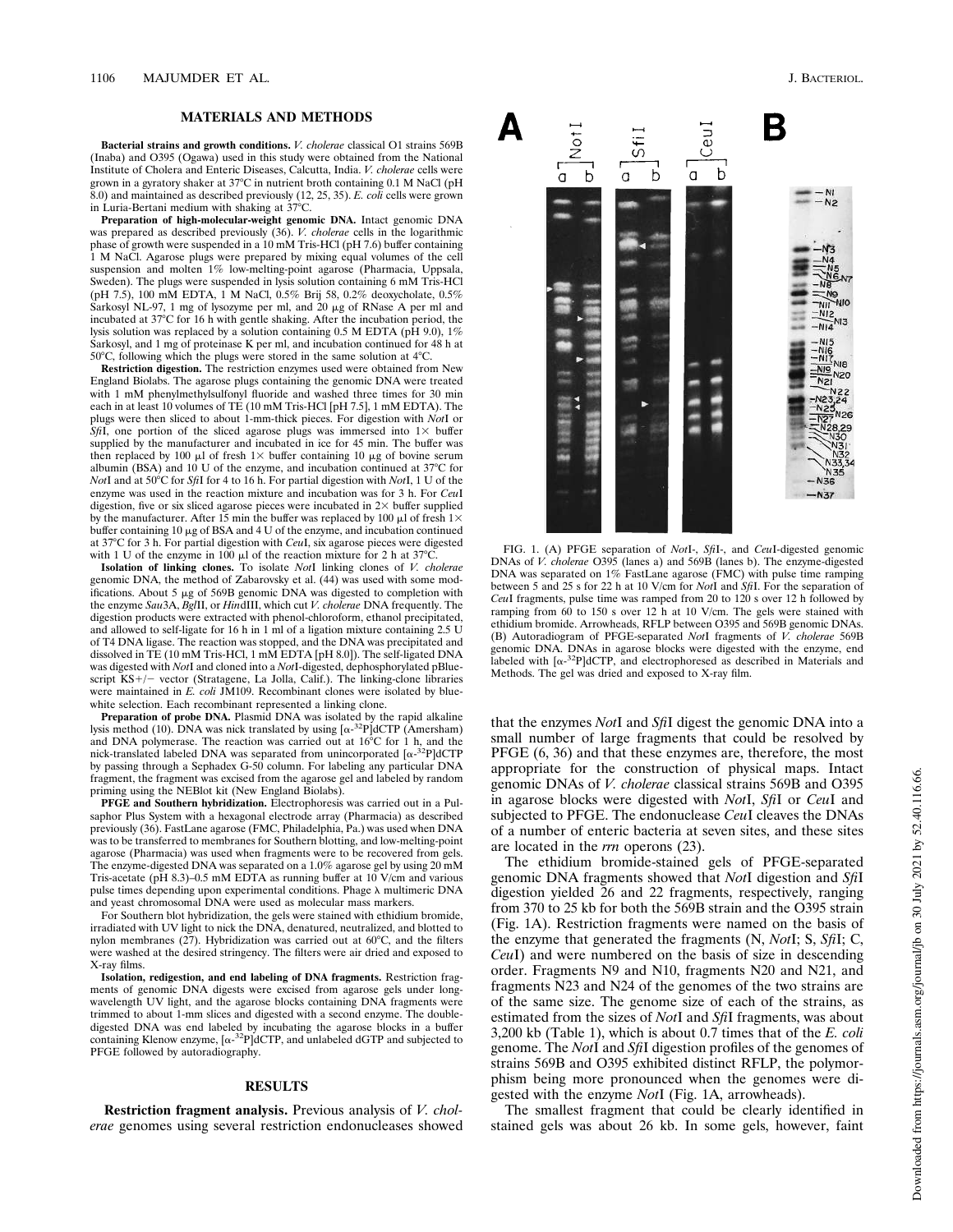## **MATERIALS AND METHODS**

**Bacterial strains and growth conditions.** *V. cholerae* classical O1 strains 569B (Inaba) and O395 (Ogawa) used in this study were obtained from the National Institute of Cholera and Enteric Diseases, Calcutta, India. *V. cholerae* cells were grown in a gyratory shaker at  $37^{\circ}$ C in nutrient broth containing 0.1 M NaCl (pH 8.0) and maintained as described previously (12, 25, 35). *E. coli* cells were grown in Luria-Bertani medium with shaking at  $37^{\circ}$ C.

**Preparation of high-molecular-weight genomic DNA.** Intact genomic DNA was prepared as described previously (36). *V. cholerae* cells in the logarithmic phase of growth were suspended in a 10 mM Tris-HCl (pH 7.6) buffer containing 1 M NaCl. Agarose plugs were prepared by mixing equal volumes of the cell suspension and molten 1% low-melting-point agarose (Pharmacia, Uppsala, Sweden). The plugs were suspended in lysis solution containing 6 mM Tris-HCl (pH 7.5), 100 mM EDTA, 1 M NaCl, 0.5% Brij 58, 0.2% deoxycholate, 0.5% Sarkosyl NL-97, 1 mg of lysozyme per ml, and 20  $\mu$ g of RNase A per ml and incubated at 37°C for 16 h with gentle shaking. After the incubation period, the lysis solution was replaced by a solution containing 0.5 M EDTA (pH 9.0), 1% Sarkosyl, and 1 mg of proteinase K per ml, and incubation continued for 48 h at 50°C, following which the plugs were stored in the same solution at  $4^{\circ}$ C.

**Restriction digestion.** The restriction enzymes used were obtained from New England Biolabs. The agarose plugs containing the genomic DNA were treated with 1 mM phenylmethylsulfonyl fluoride and washed three times for 30 min each in at least 10 volumes of TE (10 mM Tris-HCl [pH 7.5], 1 mM EDTA). The plugs were then sliced to about 1-mm-thick pieces. For digestion with *Not*I or *SfiI*, one portion of the sliced agarose plugs was immersed into  $1\times$  buffer supplied by the manufacturer and incubated in ice for 45 min. The buffer was then replaced by 100  $\mu$ l of fresh 1× buffer containing 10  $\mu$ g of bovine serum albumin (BSA) and 10 U of the enzyme, and incubation continued at  $37^{\circ}$ C for *Not*I and at 50°C for *SfiI* for 4 to 16 h. For partial digestion with *NotI*, 1 U of the enzyme was used in the reaction mixture and incubation was for 3 h. For *Ceu*I digestion, five or six sliced agarose pieces were incubated in  $2\times$  buffer supplied by the manufacturer. After 15 min the buffer was replaced by 100  $\mu$ l of fresh 1 $\times$ buffer containing 10  $\mu$ g of BSA and 4 U of the enzyme, and incubation continued at 378C for 3 h. For partial digestion with *Ceu*I, six agarose pieces were digested with 1 U of the enzyme in 100  $\mu$ l of the reaction mixture for 2 h at 37°C.

**Isolation of linking clones.** To isolate *Not*I linking clones of *V. cholerae* genomic DNA, the method of Zabarovsky et al. (44) was used with some modifications. About 5  $\mu$ g of 569B genomic DNA was digested to completion with the enzyme *Sau*3A, *Bgl*II, or *Hin*dIII, which cut *V. cholerae* DNA frequently. The digestion products were extracted with phenol-chloroform, ethanol precipitated, and allowed to self-ligate for 16 h in 1 ml of a ligation mixture containing 2.5 U of T4 DNA ligase. The reaction was stopped, and the DNA was precipitated and dissolved in TE (10 mM Tris-HCl, 1 mM EDTA [pH 8.0]). The self-ligated DNA was digested with *Not*I and cloned into a *Not*I-digested, dephosphorylated pBluescript KS+/- vector (Stratagene, La Jolla, Calif.). The linking-clone libraries<br>were maintained in *E. coli* JM109. Recombinant clones were isolated by bluewhite selection. Each recombinant represented a linking clone.

**Preparation of probe DNA.** Plasmid DNA was isolated by the rapid alkaline lysis method (10). DNA was nick translated by using  $\left[\alpha^{-32}P\right]dCTP$  (Amersham) and DNA polymerase. The reaction was carried out at  $16^{\circ}$ C for 1 h, and the nick-translated labeled DNA was separated from unincorporated  $\left[\alpha^{-32}P\right]$ dCTP by passing through a Sephadex G-50 column. For labeling any particular DNA fragment, the fragment was excised from the agarose gel and labeled by random priming using the NEBlot kit (New England Biolabs).

**PFGE and Southern hybridization.** Electrophoresis was carried out in a Pulsaphor Plus System with a hexagonal electrode array (Pharmacia) as described previously (36). FastLane agarose (FMC, Philadelphia, Pa.) was used when DNA was to be transferred to membranes for Southern blotting, and low-melting-point agarose (Pharmacia) was used when fragments were to be recovered from gels. The enzyme-digested DNA was separated on a 1.0% agarose gel by using 20 mM Tris-acetate (pH 8.3)–0.5 mM EDTA as running buffer at 10 V/cm and various pulse times depending upon experimental conditions. Phage  $\lambda$  multimeric DNA and yeast chromosomal DNA were used as molecular mass markers.

For Southern blot hybridization, the gels were stained with ethidium bromide, irradiated with UV light to nick the DNA, denatured, neutralized, and blotted to nylon membranes (27). Hybridization was carried out at  $60^{\circ}$ C, and the filters were washed at the desired stringency. The filters were air dried and exposed to X-ray films.

**Isolation, redigestion, and end labeling of DNA fragments.** Restriction fragments of genomic DNA digests were excised from agarose gels under longwavelength UV light, and the agarose blocks containing DNA fragments were trimmed to about 1-mm slices and digested with a second enzyme. The doubledigested DNA was end labeled by incubating the agarose blocks in a buffer containing Klenow enzyme,  $[\alpha^{-32}P]$ dCTP, and unlabeled dGTP and subjected to PFGE followed by autoradiography.

#### **RESULTS**

**Restriction fragment analysis.** Previous analysis of *V. cholerae* genomes using several restriction endonucleases showed



FIG. 1. (A) PFGE separation of *Not*I-, *Sfi*I-, and *Ceu*I-digested genomic DNAs of *V. cholerae* O395 (lanes a) and 569B (lanes b). The enzyme-digested DNA was separated on 1% FastLane agarose (FMC) with pulse time ramping between 5 and 25 s for 22 h at 10 V/cm for *Not*I and *Sfi*I. For the separation of *Ceu*I fragments, pulse time was ramped from 20 to 120 s over 12 h followed by ramping from  $60$  to 150 s over 12 h at 10 V/cm. The gels were stained with ethidium bromide. Arrowheads, RFLP between O395 and 569B genomic DNAs. (B) Autoradiogram of PFGE-separated *Not*I fragments of *V. cholerae* 569B genomic DNA. DNAs in agarose blocks were digested with the enzyme, end labeled with  $\left[\alpha^{-32}P\right]$ dCTP, and electrophoresed as described in Materials and Methods. The gel was dried and exposed to X-ray film.

that the enzymes *Not*I and *Sfi*I digest the genomic DNA into a small number of large fragments that could be resolved by PFGE  $(6, 36)$  and that these enzymes are, therefore, the most appropriate for the construction of physical maps. Intact genomic DNAs of *V. cholerae* classical strains 569B and O395 in agarose blocks were digested with *Not*I, *Sfi*I or *Ceu*I and subjected to PFGE. The endonuclease *Ceu*I cleaves the DNAs of a number of enteric bacteria at seven sites, and these sites are located in the *rrn* operons (23).

The ethidium bromide-stained gels of PFGE-separated genomic DNA fragments showed that *Not*I digestion and *Sfi*I digestion yielded 26 and 22 fragments, respectively, ranging from 370 to 25 kb for both the 569B strain and the O395 strain (Fig. 1A). Restriction fragments were named on the basis of the enzyme that generated the fragments (N, *Not*I; S, *Sfi*I; C, *Ceu*I) and were numbered on the basis of size in descending order. Fragments N9 and N10, fragments N20 and N21, and fragments N23 and N24 of the genomes of the two strains are of the same size. The genome size of each of the strains, as estimated from the sizes of *Not*I and *Sfi*I fragments, was about 3,200 kb (Table 1), which is about 0.7 times that of the *E. coli* genome. The *Not*I and *Sfi*I digestion profiles of the genomes of strains 569B and O395 exhibited distinct RFLP, the polymorphism being more pronounced when the genomes were digested with the enzyme *Not*I (Fig. 1A, arrowheads).

The smallest fragment that could be clearly identified in stained gels was about 26 kb. In some gels, however, faint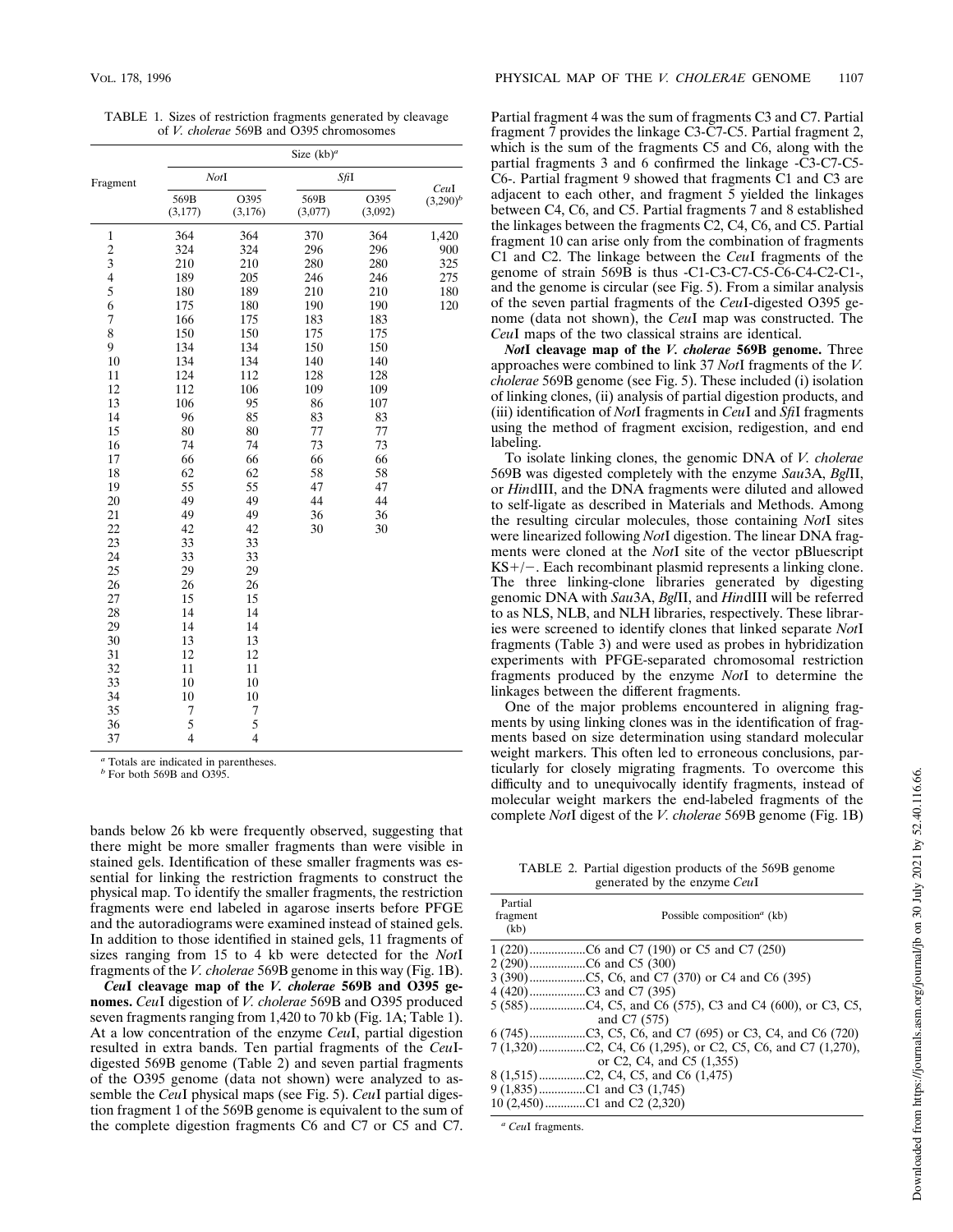TABLE 1. Sizes of restriction fragments generated by cleavage of *V. cholerae* 569B and O395 chromosomes

| Fragment                | NotI             |                  | SfiI            |                 | CeuI        |
|-------------------------|------------------|------------------|-----------------|-----------------|-------------|
|                         | 569B<br>(3, 177) | O395<br>(3, 176) | 569B<br>(3,077) | O395<br>(3,092) | $(3,290)^b$ |
| $\mathbf{1}$            | 364              | 364              | 370             | 364             | 1,420       |
| $\overline{c}$          | 324              | 324              | 296             | 296             | 900         |
| $\overline{\mathbf{3}}$ | 210              | 210              | 280             | 280             | 325         |
| $\overline{\mathbf{4}}$ | 189              | 205              | 246             | 246             | 275         |
| 5                       | 180              | 189              | 210             | 210             | 180         |
| 6                       | 175              | 180              | 190             | 190             | 120         |
| $\overline{7}$          | 166              | 175              | 183             | 183             |             |
| 8                       | 150              | 150              | 175             | 175             |             |
| 9                       | 134              | 134              | 150             | 150             |             |
| 10                      | 134              | 134              | 140             | 140             |             |
| 11                      | 124              | 112              | 128             | 128             |             |
| 12                      | 112              | 106              | 109             | 109             |             |
| 13                      | 106              | 95               | 86              | 107             |             |
| 14                      | 96               | 85               | 83              | 83              |             |
| 15                      | 80               | 80               | 77              | $77 \,$         |             |
| 16                      | 74               | 74               | 73              | 73              |             |
| 17                      | 66               | 66               | 66              | 66              |             |
| 18                      | 62               | 62               | 58              | 58              |             |
| 19                      | 55               | 55               | 47              | 47              |             |
| 20                      | 49               | 49               | 44              | 44              |             |
| 21                      | 49               | 49               | 36              | 36              |             |
| 22                      | 42               | 42               | 30              | 30              |             |
| 23                      | 33               | 33               |                 |                 |             |
| 24                      | 33               | 33               |                 |                 |             |
| 25                      | 29               | 29               |                 |                 |             |
| 26                      | 26               | 26               |                 |                 |             |
| 27                      | 15               | 15               |                 |                 |             |
| 28<br>29                | 14<br>14         | 14<br>14         |                 |                 |             |
| 30                      |                  |                  |                 |                 |             |
| 31                      | 13<br>12         | 13<br>12         |                 |                 |             |
| 32                      | 11               | 11               |                 |                 |             |
| 33                      | 10               |                  |                 |                 |             |
| 34                      | 10               | 10<br>10         |                 |                 |             |
| 35                      | $\overline{7}$   | 7                |                 |                 |             |
| 36                      |                  | 5                |                 |                 |             |
| 37                      | $\frac{5}{4}$    | $\overline{4}$   |                 |                 |             |
|                         |                  |                  |                 |                 |             |

*<sup>a</sup>* Totals are indicated in parentheses.

*<sup>b</sup>* For both 569B and O395.

bands below 26 kb were frequently observed, suggesting that there might be more smaller fragments than were visible in stained gels. Identification of these smaller fragments was essential for linking the restriction fragments to construct the physical map. To identify the smaller fragments, the restriction fragments were end labeled in agarose inserts before PFGE and the autoradiograms were examined instead of stained gels. In addition to those identified in stained gels, 11 fragments of sizes ranging from 15 to 4 kb were detected for the *Not*I fragments of the *V. cholerae* 569B genome in this way (Fig. 1B).

*Ceu***I cleavage map of the** *V. cholerae* **569B and O395 genomes.** *Ceu*I digestion of *V. cholerae* 569B and O395 produced seven fragments ranging from 1,420 to 70 kb (Fig. 1A; Table 1). At a low concentration of the enzyme *Ceu*I, partial digestion resulted in extra bands. Ten partial fragments of the *Ceu*Idigested 569B genome (Table 2) and seven partial fragments of the O395 genome (data not shown) were analyzed to assemble the *Ceu*I physical maps (see Fig. 5). *Ceu*I partial digestion fragment 1 of the 569B genome is equivalent to the sum of the complete digestion fragments C6 and C7 or C5 and C7.

Partial fragment 4 was the sum of fragments C3 and C7. Partial fragment 7 provides the linkage C3-C7-C5. Partial fragment 2, which is the sum of the fragments C5 and C6, along with the partial fragments 3 and 6 confirmed the linkage -C3-C7-C5- C6-. Partial fragment 9 showed that fragments C1 and C3 are adjacent to each other, and fragment 5 yielded the linkages between C4, C6, and C5. Partial fragments 7 and 8 established the linkages between the fragments C2, C4, C6, and C5. Partial fragment 10 can arise only from the combination of fragments C1 and C2. The linkage between the *Ceu*I fragments of the genome of strain 569B is thus -C1-C3-C7-C5-C6-C4-C2-C1-, and the genome is circular (see Fig. 5). From a similar analysis of the seven partial fragments of the *Ceu*I-digested O395 genome (data not shown), the *Ceu*I map was constructed. The *Ceu*I maps of the two classical strains are identical.

*Not***I cleavage map of the** *V. cholerae* **569B genome.** Three approaches were combined to link 37 *Not*I fragments of the *V. cholerae* 569B genome (see Fig. 5). These included (i) isolation of linking clones, (ii) analysis of partial digestion products, and (iii) identification of *Not*I fragments in *Ceu*I and *Sfi*I fragments using the method of fragment excision, redigestion, and end labeling.

To isolate linking clones, the genomic DNA of *V. cholerae* 569B was digested completely with the enzyme *Sau*3A, *Bgl*II, or *Hin*dIII, and the DNA fragments were diluted and allowed to self-ligate as described in Materials and Methods. Among the resulting circular molecules, those containing *Not*I sites were linearized following *Not*I digestion. The linear DNA fragments were cloned at the *Not*I site of the vector pBluescript  $KS+/-$ . Each recombinant plasmid represents a linking clone. The three linking-clone libraries generated by digesting genomic DNA with *Sau*3A, *Bgl*II, and *Hin*dIII will be referred to as NLS, NLB, and NLH libraries, respectively. These libraries were screened to identify clones that linked separate *Not*I fragments (Table 3) and were used as probes in hybridization experiments with PFGE-separated chromosomal restriction fragments produced by the enzyme *Not*I to determine the linkages between the different fragments.

One of the major problems encountered in aligning fragments by using linking clones was in the identification of fragments based on size determination using standard molecular weight markers. This often led to erroneous conclusions, particularly for closely migrating fragments. To overcome this difficulty and to unequivocally identify fragments, instead of molecular weight markers the end-labeled fragments of the complete *Not*I digest of the *V. cholerae* 569B genome (Fig. 1B)

TABLE 2. Partial digestion products of the 569B genome generated by the enzyme *Ceu*I

| Partial<br>fragment<br>(kb) | Possible composition <sup><i>a</i></sup> (kb) |
|-----------------------------|-----------------------------------------------|
|                             |                                               |
|                             |                                               |
|                             |                                               |
|                             |                                               |
|                             |                                               |
|                             | and C7 (575)                                  |
|                             |                                               |
|                             |                                               |
|                             | or C2, C4, and C5 (1,355)                     |
|                             |                                               |
|                             | 9 (1,835)C1 and C3 (1,745)                    |
|                             | 10 (2,450)C1 and C2 (2,320)                   |
|                             |                                               |

*<sup>a</sup> Ceu*I fragments.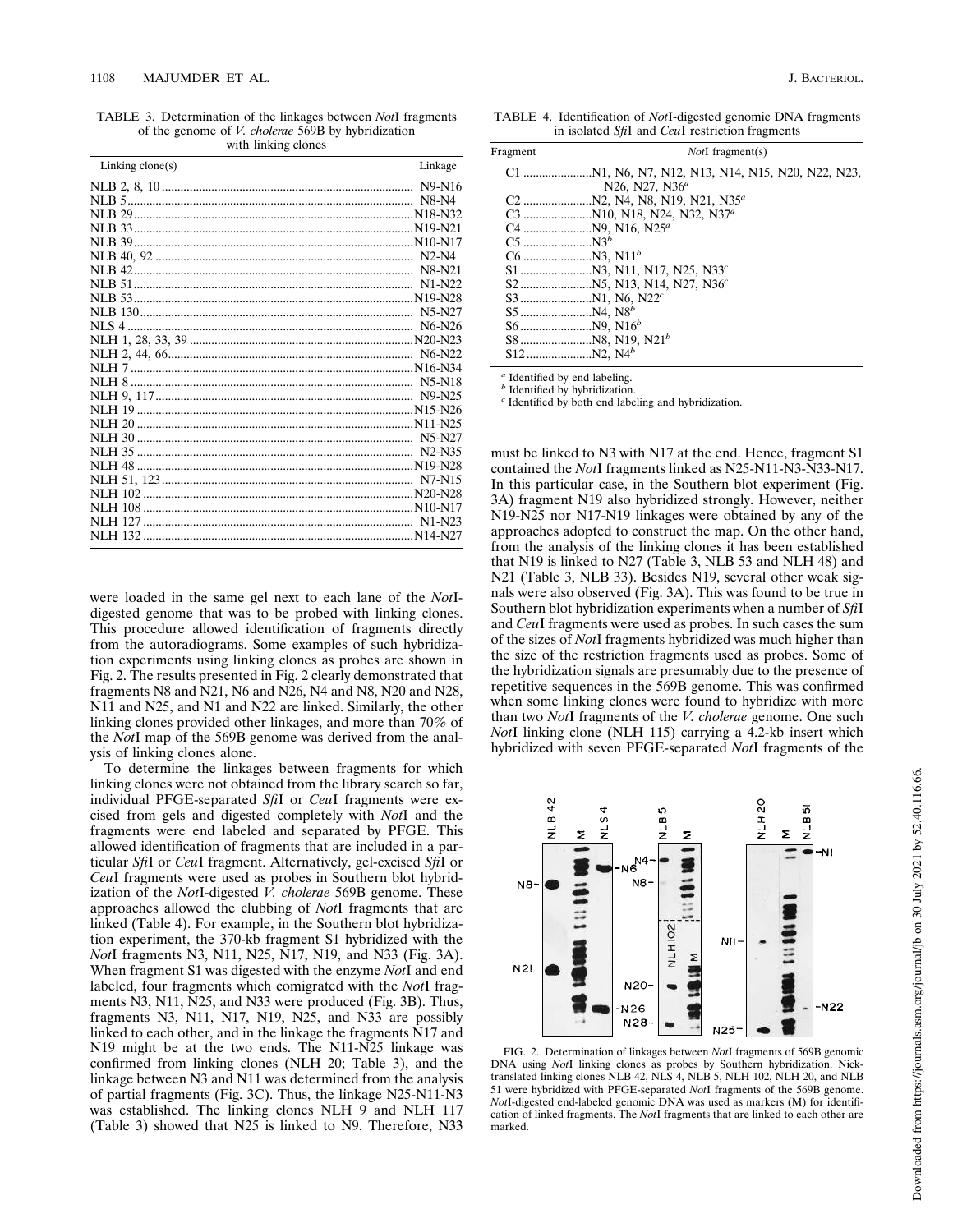TABLE 3. Determination of the linkages between *Not*I fragments of the genome of *V. cholerae* 569B by hybridization with linking clones

| Linking $clone(s)$ | Linkage                         |
|--------------------|---------------------------------|
|                    | N9-N16                          |
|                    | $N8-N4$                         |
|                    |                                 |
|                    |                                 |
|                    |                                 |
|                    |                                 |
|                    | N8-N21                          |
|                    | $N1-N22$                        |
|                    |                                 |
|                    | N5-N27                          |
| NIS <sub>4</sub>   | N <sub>6</sub> -N <sub>26</sub> |
|                    |                                 |
|                    | N <sub>6</sub> -N <sub>22</sub> |
|                    |                                 |
|                    |                                 |
|                    | N9-N25                          |
|                    |                                 |
|                    |                                 |
|                    | $N5-N27$                        |
|                    | N <sub>2</sub> -N <sub>35</sub> |
| <b>NLH 48</b>      |                                 |
|                    |                                 |
|                    |                                 |
|                    |                                 |
|                    |                                 |
|                    |                                 |
|                    |                                 |

were loaded in the same gel next to each lane of the *Not*Idigested genome that was to be probed with linking clones. This procedure allowed identification of fragments directly from the autoradiograms. Some examples of such hybridization experiments using linking clones as probes are shown in Fig. 2. The results presented in Fig. 2 clearly demonstrated that fragments N8 and N21, N6 and N26, N4 and N8, N20 and N28, N11 and N25, and N1 and N22 are linked. Similarly, the other linking clones provided other linkages, and more than 70% of the *Not*I map of the 569B genome was derived from the analysis of linking clones alone.

To determine the linkages between fragments for which linking clones were not obtained from the library search so far, individual PFGE-separated *Sfi*I or *Ceu*I fragments were excised from gels and digested completely with *Not*I and the fragments were end labeled and separated by PFGE. This allowed identification of fragments that are included in a particular *Sfi*I or *Ceu*I fragment. Alternatively, gel-excised *Sfi*I or *Ceu*I fragments were used as probes in Southern blot hybridization of the *Not*I-digested  $\vec{V}$ . *cholerae* 569B genome. These approaches allowed the clubbing of *Not*I fragments that are linked (Table 4). For example, in the Southern blot hybridization experiment, the 370-kb fragment S1 hybridized with the *Not*I fragments N3, N11, N25, N17, N19, and N33 (Fig. 3A). When fragment S1 was digested with the enzyme *Not*I and end labeled, four fragments which comigrated with the *Not*I fragments N3, N11, N25, and N33 were produced (Fig. 3B). Thus, fragments N3, N11, N17, N19, N25, and N33 are possibly linked to each other, and in the linkage the fragments N17 and N19 might be at the two ends. The N11-N25 linkage was confirmed from linking clones (NLH 20; Table 3), and the linkage between N3 and N11 was determined from the analysis of partial fragments (Fig. 3C). Thus, the linkage N25-N11-N3 was established. The linking clones NLH 9 and NLH 117 (Table 3) showed that N25 is linked to N9. Therefore, N33

TABLE 4. Identification of *Not*I-digested genomic DNA fragments in isolated *Sfi*I and *Ceu*I restriction fragments

| Fragment | <i>NotI</i> fragment(s)                |  |  |  |
|----------|----------------------------------------|--|--|--|
|          |                                        |  |  |  |
|          | N26, N27, N36 <sup>a</sup>             |  |  |  |
| $C2$     | N2, N4, N8, N19, N21, N35 <sup>a</sup> |  |  |  |
|          |                                        |  |  |  |
|          |                                        |  |  |  |
|          | $N3^b$                                 |  |  |  |
|          |                                        |  |  |  |
|          |                                        |  |  |  |
|          |                                        |  |  |  |
|          |                                        |  |  |  |
|          |                                        |  |  |  |
|          |                                        |  |  |  |
|          |                                        |  |  |  |
|          |                                        |  |  |  |

*a* Identified by end labeling.

*b* Identified by hybridization. *c* Identified by both end labeling and hybridization.

must be linked to N3 with N17 at the end. Hence, fragment S1 contained the *Not*I fragments linked as N25-N11-N3-N33-N17. In this particular case, in the Southern blot experiment (Fig. 3A) fragment N19 also hybridized strongly. However, neither N19-N25 nor N17-N19 linkages were obtained by any of the approaches adopted to construct the map. On the other hand, from the analysis of the linking clones it has been established that N19 is linked to N27 (Table 3, NLB 53 and NLH 48) and N21 (Table 3, NLB 33). Besides N19, several other weak signals were also observed (Fig. 3A). This was found to be true in Southern blot hybridization experiments when a number of *Sfi*I and *Ceu*I fragments were used as probes. In such cases the sum of the sizes of *Not*I fragments hybridized was much higher than the size of the restriction fragments used as probes. Some of the hybridization signals are presumably due to the presence of repetitive sequences in the 569B genome. This was confirmed when some linking clones were found to hybridize with more than two *Not*I fragments of the *V. cholerae* genome. One such *Not*I linking clone (NLH 115) carrying a 4.2-kb insert which hybridized with seven PFGE-separated *Not*I fragments of the



FIG. 2. Determination of linkages between *Not*I fragments of 569B genomic DNA using *Not*I linking clones as probes by Southern hybridization. Nick-translated linking clones NLB 42, NLS 4, NLB 5, NLH 102, NLH 20, and NLB 51 were hybridized with PFGE-separated *Not*I fragments of the 569B genome. *Not*I-digested end-labeled genomic DNA was used as markers (M) for identification of linked fragments. The *Not*I fragments that are linked to each other are marked.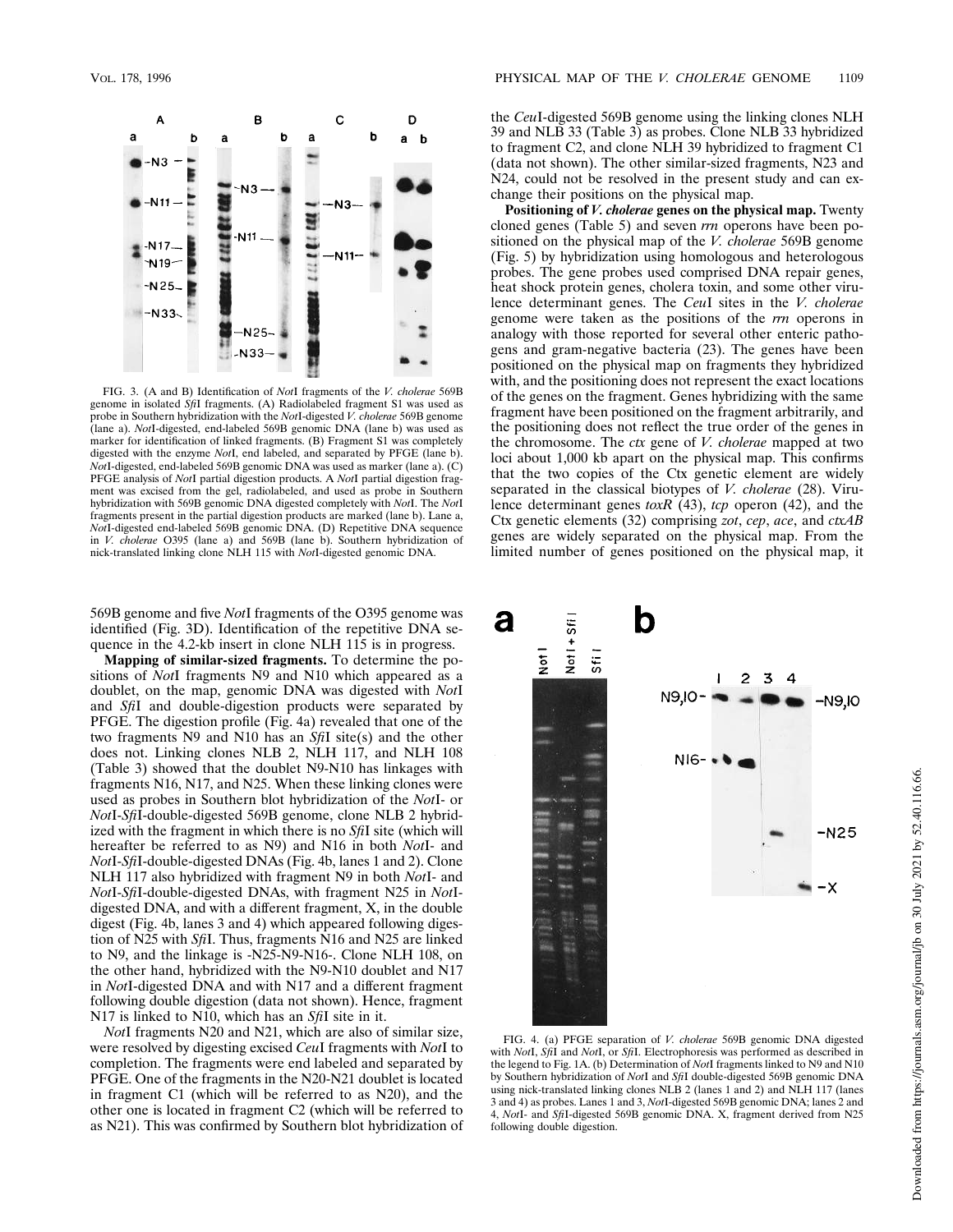

FIG. 3. (A and B) Identification of *Not*I fragments of the *V. cholerae* 569B genome in isolated *Sfi*I fragments. (A) Radiolabeled fragment S1 was used as probe in Southern hybridization with the *Not*I-digested *V. cholerae* 569B genome (lane a). *Not*I-digested, end-labeled 569B genomic DNA (lane b) was used as marker for identification of linked fragments. (B) Fragment S1 was completely digested with the enzyme *Not*I, end labeled, and separated by PFGE (lane b). *Not*I-digested, end-labeled 569B genomic DNA was used as marker (lane a). (C) PFGE analysis of *Not*I partial digestion products. A *Not*I partial digestion fragment was excised from the gel, radiolabeled, and used as probe in Southern hybridization with 569B genomic DNA digested completely with *Not*I. The *Not*I fragments present in the partial digestion products are marked (lane b). Lane a, *Not*I-digested end-labeled 569B genomic DNA. (D) Repetitive DNA sequence in *V. cholerae* O395 (lane a) and 569B (lane b). Southern hybridization of nick-translated linking clone NLH 115 with *Not*I-digested genomic DNA.

569B genome and five *Not*I fragments of the O395 genome was identified (Fig. 3D). Identification of the repetitive DNA sequence in the 4.2-kb insert in clone NLH 115 is in progress.

**Mapping of similar-sized fragments.** To determine the positions of *Not*I fragments N9 and N10 which appeared as a doublet, on the map, genomic DNA was digested with *Not*I and *Sfi*I and double-digestion products were separated by PFGE. The digestion profile (Fig. 4a) revealed that one of the two fragments N9 and N10 has an *Sfi*I site(s) and the other does not. Linking clones NLB 2, NLH 117, and NLH 108 (Table 3) showed that the doublet N9-N10 has linkages with fragments N16, N17, and N25. When these linking clones were used as probes in Southern blot hybridization of the *Not*I- or *Not*I-*Sfi*I-double-digested 569B genome, clone NLB 2 hybridized with the fragment in which there is no *Sfi*I site (which will hereafter be referred to as N9) and N16 in both *Not*I- and *Not*I-*Sfi*I-double-digested DNAs (Fig. 4b, lanes 1 and 2). Clone NLH 117 also hybridized with fragment N9 in both *Not*I- and *Not*I-*Sfi*I-double-digested DNAs, with fragment N25 in *Not*Idigested DNA, and with a different fragment, X, in the double digest (Fig. 4b, lanes 3 and 4) which appeared following digestion of N25 with *Sfi*I. Thus, fragments N16 and N25 are linked to N9, and the linkage is -N25-N9-N16-. Clone NLH 108, on the other hand, hybridized with the N9-N10 doublet and N17 in *Not*I-digested DNA and with N17 and a different fragment following double digestion (data not shown). Hence, fragment N17 is linked to N10, which has an *Sfi*I site in it.

*Not*I fragments N20 and N21, which are also of similar size, were resolved by digesting excised *Ceu*I fragments with *Not*I to completion. The fragments were end labeled and separated by PFGE. One of the fragments in the N20-N21 doublet is located in fragment C1 (which will be referred to as N20), and the other one is located in fragment C2 (which will be referred to as N21). This was confirmed by Southern blot hybridization of the *Ceu*I-digested 569B genome using the linking clones NLH 39 and NLB 33 (Table 3) as probes. Clone NLB 33 hybridized to fragment C2, and clone NLH 39 hybridized to fragment C1 (data not shown). The other similar-sized fragments, N23 and N24, could not be resolved in the present study and can exchange their positions on the physical map.

**Positioning of** *V. cholerae* **genes on the physical map.** Twenty cloned genes (Table 5) and seven *rrn* operons have been positioned on the physical map of the *V. cholerae* 569B genome (Fig. 5) by hybridization using homologous and heterologous probes. The gene probes used comprised DNA repair genes, heat shock protein genes, cholera toxin, and some other virulence determinant genes. The *Ceu*I sites in the *V. cholerae* genome were taken as the positions of the *rrn* operons in analogy with those reported for several other enteric pathogens and gram-negative bacteria (23). The genes have been positioned on the physical map on fragments they hybridized with, and the positioning does not represent the exact locations of the genes on the fragment. Genes hybridizing with the same fragment have been positioned on the fragment arbitrarily, and the positioning does not reflect the true order of the genes in the chromosome. The *ctx* gene of *V. cholerae* mapped at two loci about 1,000 kb apart on the physical map. This confirms that the two copies of the Ctx genetic element are widely separated in the classical biotypes of *V. cholerae* (28). Virulence determinant genes *toxR* (43), *tcp* operon (42), and the Ctx genetic elements (32) comprising *zot*, *cep*, *ace*, and *ctxAB* genes are widely separated on the physical map. From the limited number of genes positioned on the physical map, it



FIG. 4. (a) PFGE separation of *V. cholerae* 569B genomic DNA digested with *Not*I, *Sfi*I and *Not*I, or *Sfi*I. Electrophoresis was performed as described in the legend to Fig. 1A. (b) Determination of *Not*I fragments linked to N9 and N10 by Southern hybridization of *Not*I and *Sfi*I double-digested 569B genomic DNA using nick-translated linking clones NLB 2 (lanes 1 and 2) and NLH 117 (lanes 3 and 4) as probes. Lanes 1 and 3, *Not*I-digested 569B genomic DNA; lanes 2 and 4, *Not*I- and *Sfi*I-digested 569B genomic DNA. X, fragment derived from N25 following double digestion.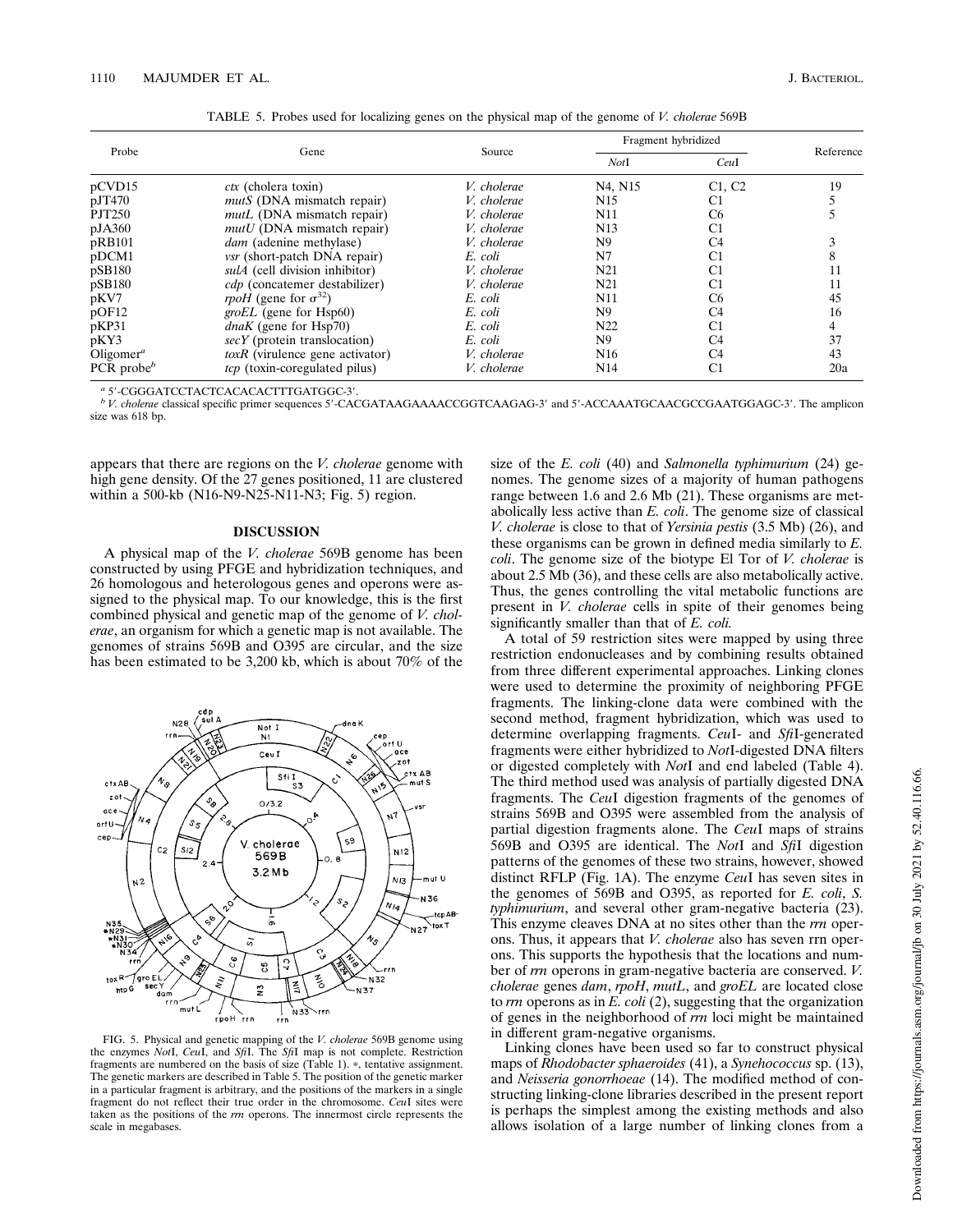| Probe                 |                                     |             | Fragment hybridized              |                |           |
|-----------------------|-------------------------------------|-------------|----------------------------------|----------------|-----------|
|                       | Gene                                | Source      | NotI                             | CeuI           | Reference |
| pCVD15                | $\textit{ctx}$ (cholera toxin)      | V. cholerae | N <sub>4</sub> , N <sub>15</sub> | C1, C2         | 19        |
| pJT470                | <i>mutS</i> (DNA mismatch repair)   | V. cholerae | N <sub>15</sub>                  | C1             |           |
| <b>PJT250</b>         | <i>mutL</i> (DNA mismatch repair)   | V. cholerae | N11                              | C <sub>6</sub> |           |
| pJA360                | $mutU$ (DNA mismatch repair)        | V. cholerae | N13                              | C1             |           |
| pRB101                | <i>dam</i> (adenine methylase)      | V. cholerae | N <sub>9</sub>                   | C <sub>4</sub> |           |
| pDCM1                 | <i>vsr</i> (short-patch DNA repair) | E. coli     | N7                               | C1             |           |
| pSB180                | sulA (cell division inhibitor)      | V. cholerae | N <sub>21</sub>                  | C1             | 11        |
| pSB180                | cdp (concatemer destabilizer)       | V. cholerae | N <sub>21</sub>                  | C1             | 11        |
| pKV7                  | rpoH (gene for $\sigma^{32}$ )      | E. coli     | N11                              | C <sub>6</sub> | 45        |
| $p$ OF12              | <i>groEL</i> (gene for Hsp60)       | E. coli     | N9                               | C4             | 16        |
| pKP31                 | $dnaK$ (gene for Hsp70)             | E. coli     | N <sub>22</sub>                  | C1             |           |
| pKY3                  | $secY$ (protein translocation)      | E. coli     | N <sub>9</sub>                   | C4             | 37        |
| Oligomer <sup>a</sup> | $toxR$ (virulence gene activator)   | V. cholerae | N <sub>16</sub>                  | C4             | 43        |
| PCR probe $\Phi$      | tcp (toxin-coregulated pilus)       | V. cholerae | N <sub>14</sub>                  | C1             | 20a       |

TABLE 5. Probes used for localizing genes on the physical map of the genome of *V. cholerae* 569B

a 5'-CGGGATCCTACTCACACACTTTGATGGC-3'.

*b V. cholerae* classical specific primer sequences 5'-CACGATAAGAAAACCGGTCAAGAG-3' and 5'-ACCAAATGCAACGCCGAATGGAGC-3'. The amplicon size was 618 bp.

appears that there are regions on the *V. cholerae* genome with high gene density. Of the 27 genes positioned, 11 are clustered within a 500-kb (N16-N9-N25-N11-N3; Fig. 5) region.

### **DISCUSSION**

A physical map of the *V. cholerae* 569B genome has been constructed by using PFGE and hybridization techniques, and 26 homologous and heterologous genes and operons were assigned to the physical map. To our knowledge, this is the first combined physical and genetic map of the genome of *V. cholerae*, an organism for which a genetic map is not available. The genomes of strains 569B and O395 are circular, and the size has been estimated to be 3,200 kb, which is about 70% of the



FIG. 5. Physical and genetic mapping of the *V. cholerae* 569B genome using the enzymes *Not*I, *Ceu*I, and *Sfi*I. The *Sfi*I map is not complete. Restriction fragments are numbered on the basis of size (Table 1). \*, tentative assignment. The genetic markers are described in Table 5. The position of the genetic marker in a particular fragment is arbitrary, and the positions of the markers in a single fragment do not reflect their true order in the chromosome. *Ceu*I sites were taken as the positions of the *rrn* operons. The innermost circle represents the scale in megabases.

size of the *E. coli* (40) and *Salmonella typhimurium* (24) genomes. The genome sizes of a majority of human pathogens range between 1.6 and 2.6 Mb (21). These organisms are metabolically less active than *E. coli*. The genome size of classical *V. cholerae* is close to that of *Yersinia pestis* (3.5 Mb) (26), and these organisms can be grown in defined media similarly to *E. coli*. The genome size of the biotype El Tor of *V. cholerae* is about 2.5 Mb (36), and these cells are also metabolically active. Thus, the genes controlling the vital metabolic functions are present in *V. cholerae* cells in spite of their genomes being significantly smaller than that of *E. coli.*

A total of 59 restriction sites were mapped by using three restriction endonucleases and by combining results obtained from three different experimental approaches. Linking clones were used to determine the proximity of neighboring PFGE fragments. The linking-clone data were combined with the second method, fragment hybridization, which was used to determine overlapping fragments. *Ceu*I- and *Sfi*I-generated fragments were either hybridized to *Not*I-digested DNA filters or digested completely with *Not*I and end labeled (Table 4). The third method used was analysis of partially digested DNA fragments. The *Ceu*I digestion fragments of the genomes of strains 569B and O395 were assembled from the analysis of partial digestion fragments alone. The *Ceu*I maps of strains 569B and O395 are identical. The *Not*I and *Sfi*I digestion patterns of the genomes of these two strains, however, showed distinct RFLP (Fig. 1A). The enzyme *Ceu*I has seven sites in the genomes of 569B and O395, as reported for *E. coli*, *S. typhimurium*, and several other gram-negative bacteria (23). This enzyme cleaves DNA at no sites other than the *rrn* operons. Thus, it appears that *V. cholerae* also has seven rrn operons. This supports the hypothesis that the locations and number of *rrn* operons in gram-negative bacteria are conserved. *V. cholerae* genes *dam*, *rpoH*, *mutL*, and *groEL* are located close to *rrn* operons as in *E. coli* (2), suggesting that the organization of genes in the neighborhood of *rrn* loci might be maintained in different gram-negative organisms.

Linking clones have been used so far to construct physical maps of *Rhodobacter sphaeroides* (41), a *Synehococcus* sp. (13), and *Neisseria gonorrhoeae* (14). The modified method of constructing linking-clone libraries described in the present report is perhaps the simplest among the existing methods and also allows isolation of a large number of linking clones from a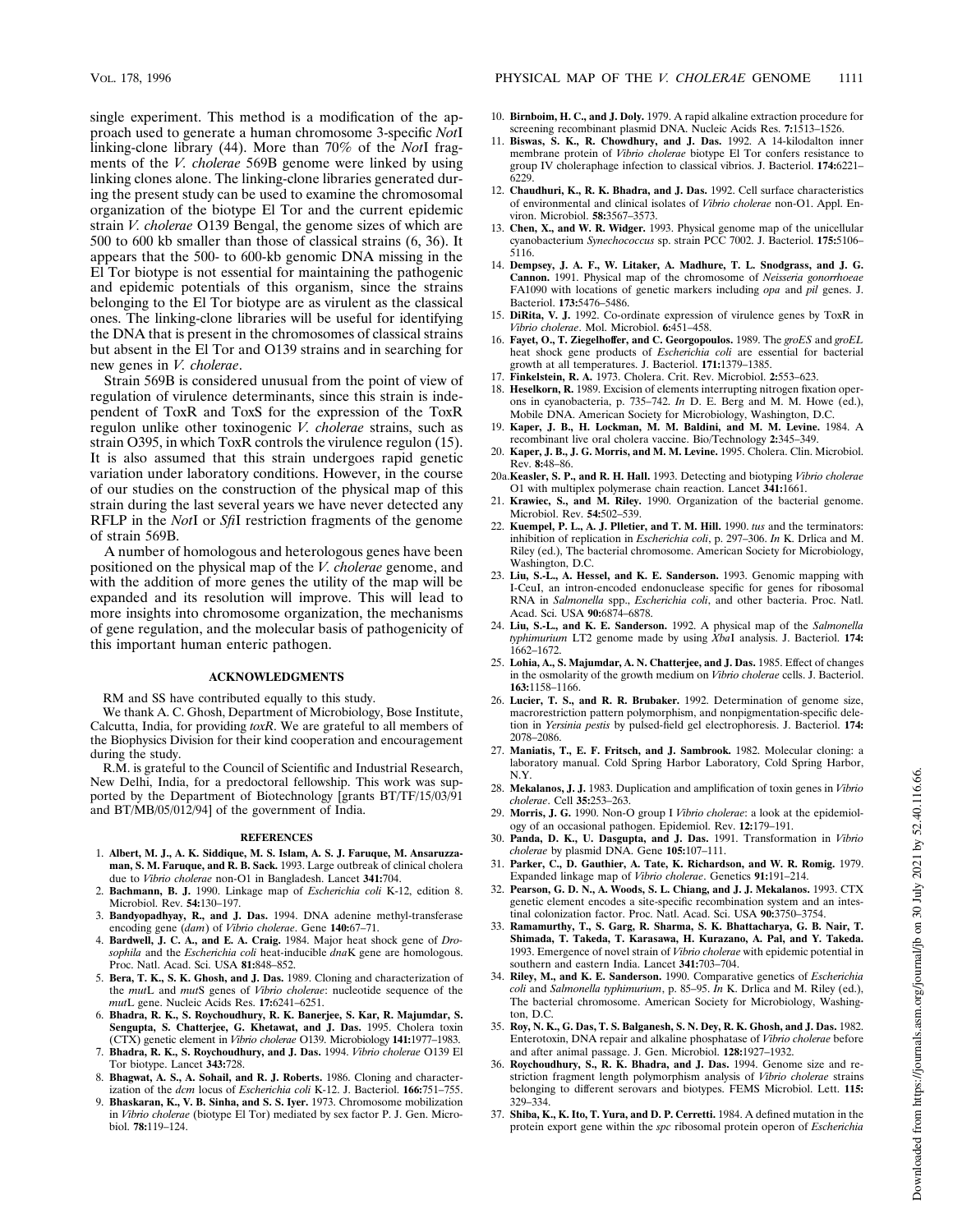single experiment. This method is a modification of the approach used to generate a human chromosome 3-specific *Not*I linking-clone library (44). More than 70% of the *Not*I fragments of the *V. cholerae* 569B genome were linked by using linking clones alone. The linking-clone libraries generated during the present study can be used to examine the chromosomal organization of the biotype El Tor and the current epidemic strain *V. cholerae* O139 Bengal, the genome sizes of which are 500 to 600 kb smaller than those of classical strains (6, 36). It appears that the 500- to 600-kb genomic DNA missing in the El Tor biotype is not essential for maintaining the pathogenic and epidemic potentials of this organism, since the strains belonging to the El Tor biotype are as virulent as the classical ones. The linking-clone libraries will be useful for identifying the DNA that is present in the chromosomes of classical strains but absent in the El Tor and O139 strains and in searching for new genes in *V. cholerae*.

Strain 569B is considered unusual from the point of view of regulation of virulence determinants, since this strain is independent of ToxR and ToxS for the expression of the ToxR regulon unlike other toxinogenic *V. cholerae* strains, such as strain O395, in which ToxR controls the virulence regulon (15). It is also assumed that this strain undergoes rapid genetic variation under laboratory conditions. However, in the course of our studies on the construction of the physical map of this strain during the last several years we have never detected any RFLP in the *Not*I or *Sfi*I restriction fragments of the genome of strain 569B.

A number of homologous and heterologous genes have been positioned on the physical map of the *V. cholerae* genome, and with the addition of more genes the utility of the map will be expanded and its resolution will improve. This will lead to more insights into chromosome organization, the mechanisms of gene regulation, and the molecular basis of pathogenicity of this important human enteric pathogen.

### **ACKNOWLEDGMENTS**

RM and SS have contributed equally to this study.

We thank A. C. Ghosh, Department of Microbiology, Bose Institute, Calcutta, India, for providing *toxR*. We are grateful to all members of the Biophysics Division for their kind cooperation and encouragement during the study.

R.M. is grateful to the Council of Scientific and Industrial Research, New Delhi, India, for a predoctoral fellowship. This work was supported by the Department of Biotechnology [grants BT/TF/15/03/91 and BT/MB/05/012/94] of the government of India.

#### **REFERENCES**

- 1. **Albert, M. J., A. K. Siddique, M. S. Islam, A. S. J. Faruque, M. Ansaruzzaman, S. M. Faruque, and R. B. Sack.** 1993. Large outbreak of clinical cholera due to *Vibrio cholerae* non-O1 in Bangladesh. Lancet **341:**704.
- 2. **Bachmann, B. J.** 1990. Linkage map of *Escherichia coli* K-12, edition 8. Microbiol. Rev. **54:**130–197.
- 3. **Bandyopadhyay, R., and J. Das.** 1994. DNA adenine methyl-transferase encoding gene (*dam*) of *Vibrio cholerae*. Gene **140:**67–71.
- 4. **Bardwell, J. C. A., and E. A. Craig.** 1984. Major heat shock gene of *Drosophila* and the *Escherichia coli* heat-inducible *dna*K gene are homologous. Proc. Natl. Acad. Sci. USA **81:**848–852.
- 5. **Bera, T. K., S. K. Ghosh, and J. Das.** 1989. Cloning and characterization of the *mut*L and *mut*S genes of *Vibrio cholerae*: nucleotide sequence of the *mut*L gene. Nucleic Acids Res. **17:**6241–6251.
- 6. **Bhadra, R. K., S. Roychoudhury, R. K. Banerjee, S. Kar, R. Majumdar, S. Sengupta, S. Chatterjee, G. Khetawat, and J. Das.** 1995. Cholera toxin (CTX) genetic element in *Vibrio cholerae* O139. Microbiology **141:**1977–1983.
- 7. **Bhadra, R. K., S. Roychoudhury, and J. Das.** 1994. *Vibrio cholerae* O139 El Tor biotype. Lancet **343:**728.
- 8. **Bhagwat, A. S., A. Sohail, and R. J. Roberts.** 1986. Cloning and characterization of the *dcm* locus of *Escherichia coli* K-12. J. Bacteriol. **166:**751–755.
- 9. **Bhaskaran, K., V. B. Sinha, and S. S. Iyer.** 1973. Chromosome mobilization in *Vibrio cholerae* (biotype El Tor) mediated by sex factor P. J. Gen. Microbiol. **78:**119–124.
- 10. **Birnboim, H. C., and J. Doly.** 1979. A rapid alkaline extraction procedure for screening recombinant plasmid DNA. Nucleic Acids Res. **7:**1513–1526.
- 11. **Biswas, S. K., R. Chowdhury, and J. Das.** 1992. A 14-kilodalton inner membrane protein of *Vibrio cholerae* biotype El Tor confers resistance to group IV choleraphage infection to classical vibrios. J. Bacteriol. **174:**6221– 6229.
- 12. **Chaudhuri, K., R. K. Bhadra, and J. Das.** 1992. Cell surface characteristics of environmental and clinical isolates of *Vibrio cholerae* non-O1. Appl. Environ. Microbiol. **58:**3567–3573.
- 13. **Chen, X., and W. R. Widger.** 1993. Physical genome map of the unicellular cyanobacterium *Synechococcus* sp. strain PCC 7002. J. Bacteriol. **175:**5106– 5116.
- 14. **Dempsey, J. A. F., W. Litaker, A. Madhure, T. L. Snodgrass, and J. G. Cannon.** 1991. Physical map of the chromosome of *Neisseria gonorrhoeae* FA1090 with locations of genetic markers including *opa* and *pil* genes. J. Bacteriol. **173:**5476–5486.
- 15. **DiRita, V. J.** 1992. Co-ordinate expression of virulence genes by ToxR in *Vibrio cholerae*. Mol. Microbiol. **6:**451–458.
- 16. **Fayet, O., T. Ziegelhoffer, and C. Georgopoulos.** 1989. The *groES* and *groEL* heat shock gene products of *Escherichia coli* are essential for bacterial growth at all temperatures. J. Bacteriol. **171:**1379–1385.
- 17. **Finkelstein, R. A.** 1973. Cholera. Crit. Rev. Microbiol. **2:**553–623.
- 18. **Heselkorn, R.** 1989. Excision of elements interrupting nitrogen fixation operons in cyanobacteria, p. 735–742. *In* D. E. Berg and M. M. Howe (ed.), Mobile DNA. American Society for Microbiology, Washington, D.C.
- 19. **Kaper, J. B., H. Lockman, M. M. Baldini, and M. M. Levine.** 1984. A recombinant live oral cholera vaccine. Bio/Technology **2:**345–349.
- 20. **Kaper, J. B., J. G. Morris, and M. M. Levine.** 1995. Cholera. Clin. Microbiol. Rev. **8:**48–86.
- 20a.**Keasler, S. P., and R. H. Hall.** 1993. Detecting and biotyping *Vibrio cholerae* O1 with multiplex polymerase chain reaction. Lancet **341:**1661.
- 21. **Krawiec, S., and M. Riley.** 1990. Organization of the bacterial genome. Microbiol. Rev. **54:**502–539.
- 22. **Kuempel, P. L., A. J. Plletier, and T. M. Hill.** 1990. *tus* and the terminators: inhibition of replication in *Escherichia coli*, p. 297–306. *In* K. Drlica and M. Riley (ed.), The bacterial chromosome. American Society for Microbiology, Washington, D.C.
- 23. **Liu, S.-L., A. Hessel, and K. E. Sanderson.** 1993. Genomic mapping with I-CeuI, an intron-encoded endonuclease specific for genes for ribosomal RNA in *Salmonella* spp., *Escherichia coli*, and other bacteria. Proc. Natl. Acad. Sci. USA **90:**6874–6878.
- 24. **Liu, S.-L., and K. E. Sanderson.** 1992. A physical map of the *Salmonella typhimurium* LT2 genome made by using *Xba*I analysis. J. Bacteriol. **174:** 1662–1672.
- 25. **Lohia, A., S. Majumdar, A. N. Chatterjee, and J. Das.** 1985. Effect of changes in the osmolarity of the growth medium on *Vibrio cholerae* cells. J. Bacteriol. **163:**1158–1166.
- 26. **Lucier, T. S., and R. R. Brubaker.** 1992. Determination of genome size, macrorestriction pattern polymorphism, and nonpigmentation-specific deletion in *Yersinia pestis* by pulsed-field gel electrophoresis. J. Bacteriol. **174:** 2078–2086.
- 27. **Maniatis, T., E. F. Fritsch, and J. Sambrook.** 1982. Molecular cloning: a laboratory manual. Cold Spring Harbor Laboratory, Cold Spring Harbor, N.Y.
- 28. **Mekalanos, J. J.** 1983. Duplication and amplification of toxin genes in *Vibrio cholerae*. Cell **35:**253–263.
- 29. **Morris, J. G.** 1990. Non-O group I *Vibrio cholerae*: a look at the epidemiology of an occasional pathogen. Epidemiol. Rev. **12:**179–191.
- 30. **Panda, D. K., U. Dasgupta, and J. Das.** 1991. Transformation in *Vibrio cholerae* by plasmid DNA. Gene **105:**107–111.
- 31. **Parker, C., D. Gauthier, A. Tate, K. Richardson, and W. R. Romig.** 1979. Expanded linkage map of *Vibrio cholerae*. Genetics **91:**191–214.
- 32. **Pearson, G. D. N., A. Woods, S. L. Chiang, and J. J. Mekalanos.** 1993. CTX genetic element encodes a site-specific recombination system and an intestinal colonization factor. Proc. Natl. Acad. Sci. USA **90:**3750–3754.
- 33. **Ramamurthy, T., S. Garg, R. Sharma, S. K. Bhattacharya, G. B. Nair, T. Shimada, T. Takeda, T. Karasawa, H. Kurazano, A. Pal, and Y. Takeda.** 1993. Emergence of novel strain of *Vibrio cholerae* with epidemic potential in southern and eastern India. Lancet **341:**703–704.
- 34. **Riley, M., and K. E. Sanderson.** 1990. Comparative genetics of *Escherichia coli* and *Salmonella typhimurium*, p. 85–95. *In* K. Drlica and M. Riley (ed.), The bacterial chromosome. American Society for Microbiology, Washington, D.C.
- 35. **Roy, N. K., G. Das, T. S. Balganesh, S. N. Dey, R. K. Ghosh, and J. Das.** 1982. Enterotoxin, DNA repair and alkaline phosphatase of *Vibrio cholerae* before and after animal passage. J. Gen. Microbiol. **128:**1927–1932.
- 36. **Roychoudhury, S., R. K. Bhadra, and J. Das.** 1994. Genome size and restriction fragment length polymorphism analysis of *Vibrio cholerae* strains belonging to different serovars and biotypes. FEMS Microbiol. Lett. **115:** 329–334.
- 37. **Shiba, K., K. Ito, T. Yura, and D. P. Cerretti.** 1984. A defined mutation in the protein export gene within the *spc* ribosomal protein operon of *Escherichia*